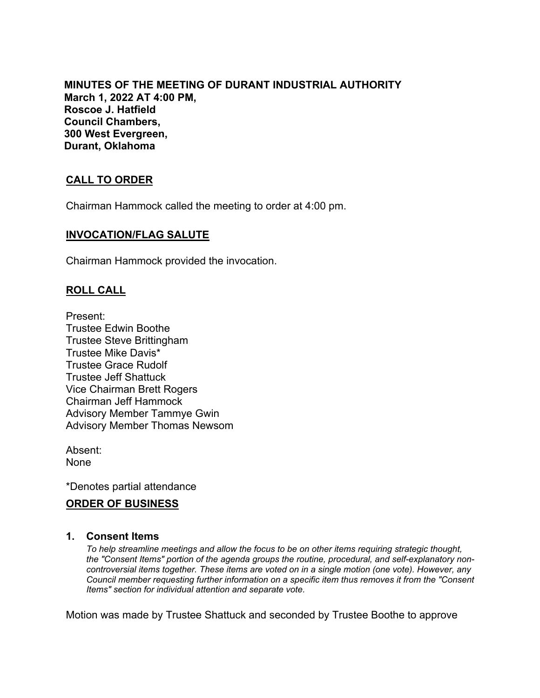**MINUTES OF THE MEETING OF DURANT INDUSTRIAL AUTHORITY March 1, 2022 AT 4:00 PM, Roscoe J. Hatfield Council Chambers, 300 West Evergreen, Durant, Oklahoma**

# **CALL TO ORDER**

Chairman Hammock called the meeting to order at 4:00 pm.

### **INVOCATION/FLAG SALUTE**

Chairman Hammock provided the invocation.

### **ROLL CALL**

Present: Trustee Edwin Boothe Trustee Steve Brittingham Trustee Mike Davis\* Trustee Grace Rudolf Trustee Jeff Shattuck Vice Chairman Brett Rogers Chairman Jeff Hammock Advisory Member Tammye Gwin Advisory Member Thomas Newsom

Absent: None

\*Denotes partial attendance

### **ORDER OF BUSINESS**

#### **1. Consent Items**

*To help streamline meetings and allow the focus to be on other items requiring strategic thought, the "Consent Items" portion of the agenda groups the routine, procedural, and self-explanatory noncontroversial items together. These items are voted on in a single motion (one vote). However, any Council member requesting further information on a specific item thus removes it from the "Consent Items" section for individual attention and separate vote.*

Motion was made by Trustee Shattuck and seconded by Trustee Boothe to approve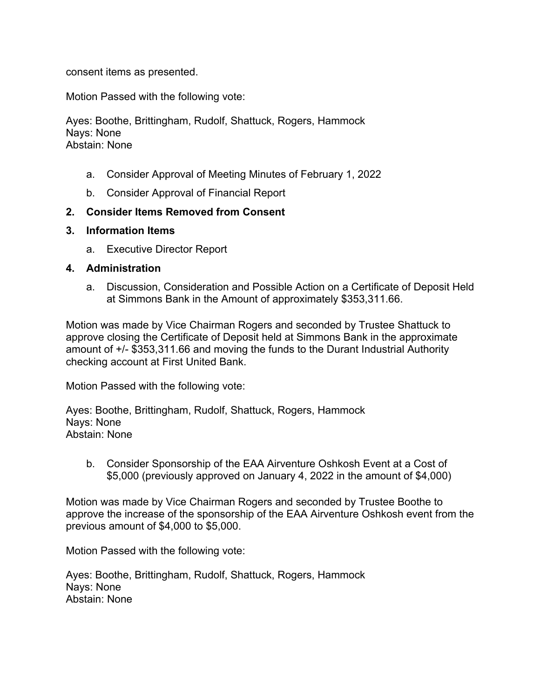consent items as presented.

Motion Passed with the following vote:

Ayes: Boothe, Brittingham, Rudolf, Shattuck, Rogers, Hammock Nays: None Abstain: None

- a. Consider Approval of Meeting Minutes of February 1, 2022
- b. Consider Approval of Financial Report

### **2. Consider Items Removed from Consent**

- **3. Information Items**
	- a. Executive Director Report

#### **4. Administration**

a. Discussion, Consideration and Possible Action on a Certificate of Deposit Held at Simmons Bank in the Amount of approximately \$353,311.66.

Motion was made by Vice Chairman Rogers and seconded by Trustee Shattuck to approve closing the Certificate of Deposit held at Simmons Bank in the approximate amount of +/- \$353,311.66 and moving the funds to the Durant Industrial Authority checking account at First United Bank.

Motion Passed with the following vote:

Ayes: Boothe, Brittingham, Rudolf, Shattuck, Rogers, Hammock Nays: None Abstain: None

b. Consider Sponsorship of the EAA Airventure Oshkosh Event at a Cost of \$5,000 (previously approved on January 4, 2022 in the amount of \$4,000)

Motion was made by Vice Chairman Rogers and seconded by Trustee Boothe to approve the increase of the sponsorship of the EAA Airventure Oshkosh event from the previous amount of \$4,000 to \$5,000.

Motion Passed with the following vote:

Ayes: Boothe, Brittingham, Rudolf, Shattuck, Rogers, Hammock Nays: None Abstain: None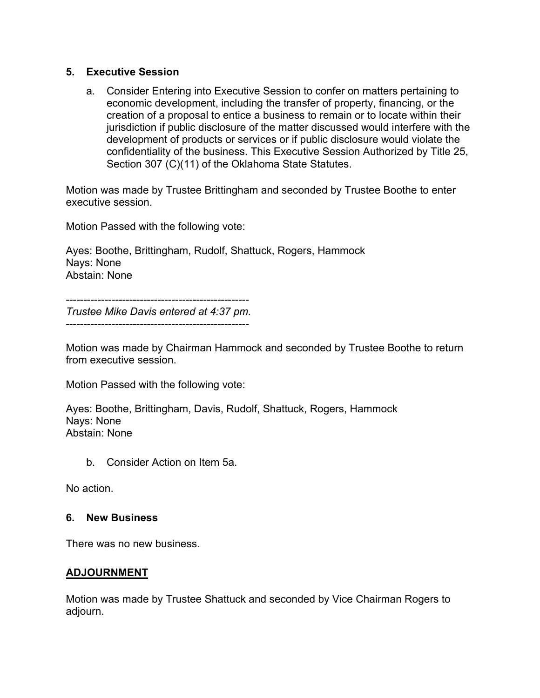## **5. Executive Session**

a. Consider Entering into Executive Session to confer on matters pertaining to economic development, including the transfer of property, financing, or the creation of a proposal to entice a business to remain or to locate within their jurisdiction if public disclosure of the matter discussed would interfere with the development of products or services or if public disclosure would violate the confidentiality of the business. This Executive Session Authorized by Title 25, Section 307 (C)(11) of the Oklahoma State Statutes.

Motion was made by Trustee Brittingham and seconded by Trustee Boothe to enter executive session.

Motion Passed with the following vote:

Ayes: Boothe, Brittingham, Rudolf, Shattuck, Rogers, Hammock Nays: None Abstain: None

----------------------------------------------------

*Trustee Mike Davis entered at 4:37 pm.* ----------------------------------------------------

Motion was made by Chairman Hammock and seconded by Trustee Boothe to return from executive session.

Motion Passed with the following vote:

Ayes: Boothe, Brittingham, Davis, Rudolf, Shattuck, Rogers, Hammock Nays: None Abstain: None

b. Consider Action on Item 5a.

No action.

### **6. New Business**

There was no new business.

### **ADJOURNMENT**

Motion was made by Trustee Shattuck and seconded by Vice Chairman Rogers to adjourn.